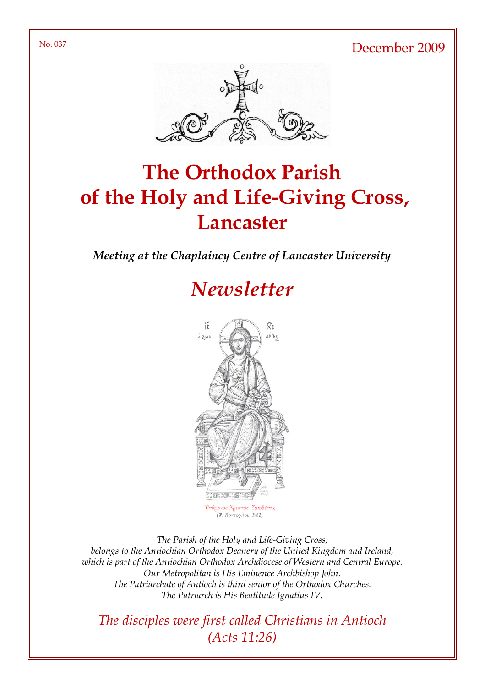No. 037 December 2009



# The Orthodox Parish of the Holy and Life-Giving Cross, **Lancaster**

Meeting at the Chaplaincy Centre of Lancaster University

# **Newsletter**



ος Χ<mark>ριστός, Ζωοδότ</mark>ης (Φ. Κόντογλου, 1962).

The Parish of the Holy and Life-Giving Cross, belongs to the Antiochian Orthodox Deanery of the United Kingdom and Ireland, which is part of the Antiochian Orthodox Archdiocese of Western and Central Europe. Our Metropolitan is His Eminence Archbishop John. The Patriarchate of Antioch is third senior of the Orthodox Churches. The Patriarch is His Beatitude Ignatius IV.

The disciples were first called Christians in Antioch (Acts 11:26)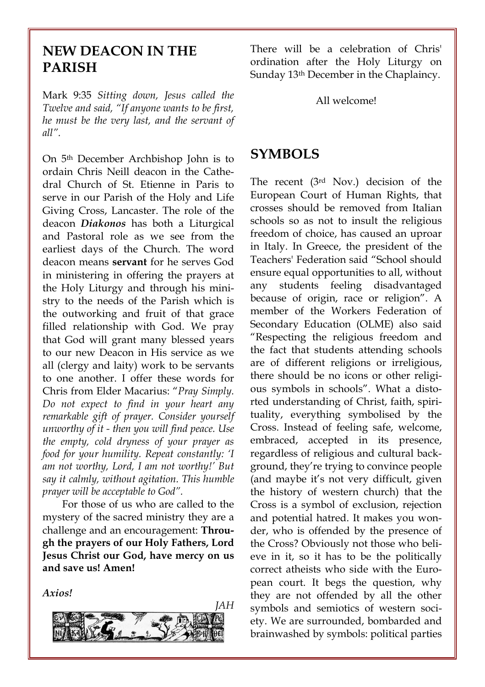### NEW DEACON IN THE PARISH

Mark 9:35 Sitting down, Jesus called the Twelve and said, "If anyone wants to be first, he must be the very last, and the servant of all".

On 5th December Archbishop John is to ordain Chris Neill deacon in the Cathedral Church of St. Etienne in Paris to serve in our Parish of the Holy and Life Giving Cross, Lancaster. The role of the deacon Diakonos has both a Liturgical and Pastoral role as we see from the earliest days of the Church. The word deacon means servant for he serves God in ministering in offering the prayers at the Holy Liturgy and through his ministry to the needs of the Parish which is the outworking and fruit of that grace filled relationship with God. We pray that God will grant many blessed years to our new Deacon in His service as we all (clergy and laity) work to be servants to one another. I offer these words for Chris from Elder Macarius: "Pray Simply. Do not expect to find in your heart any remarkable gift of prayer. Consider yourself unworthy of it - then you will find peace. Use the empty, cold dryness of your prayer as food for your humility. Repeat constantly: 'I am not worthy, Lord, I am not worthy!' But say it calmly, without agitation. This humble prayer will be acceptable to God".

For those of us who are called to the mystery of the sacred ministry they are a challenge and an encouragement: Through the prayers of our Holy Fathers, Lord Jesus Christ our God, have mercy on us and save us! Amen!

Axios!



There will be a celebration of Chris' ordination after the Holy Liturgy on Sunday 13th December in the Chaplaincy.

All welcome!

#### SYMBOLS

The recent (3rd Nov.) decision of the European Court of Human Rights, that crosses should be removed from Italian schools so as not to insult the religious freedom of choice, has caused an uproar in Italy. In Greece, the president of the Teachers' Federation said "School should ensure equal opportunities to all, without any students feeling disadvantaged because of origin, race or religion". A member of the Workers Federation of Secondary Education (OLME) also said "Respecting the religious freedom and the fact that students attending schools are of different religions or irreligious, there should be no icons or other religious symbols in schools". What a distorted understanding of Christ, faith, spirituality, everything symbolised by the Cross. Instead of feeling safe, welcome, embraced, accepted in its presence, regardless of religious and cultural background, they're trying to convince people (and maybe it's not very difficult, given the history of western church) that the Cross is a symbol of exclusion, rejection and potential hatred. It makes you wonder, who is offended by the presence of the Cross? Obviously not those who believe in it, so it has to be the politically correct atheists who side with the European court. It begs the question, why they are not offended by all the other symbols and semiotics of western society. We are surrounded, bombarded and brainwashed by symbols: political parties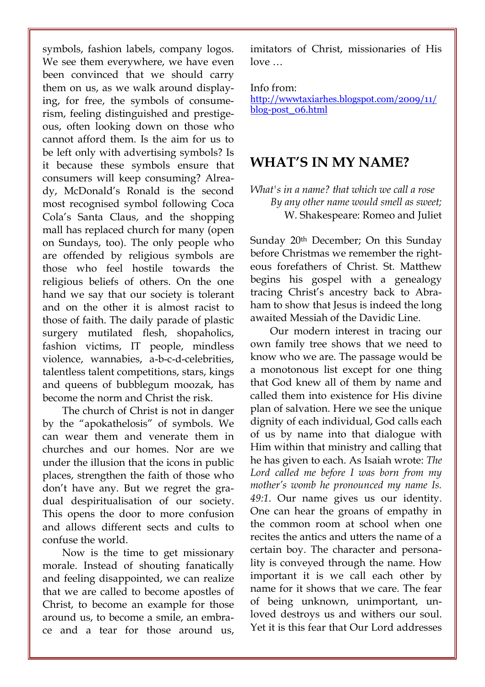symbols, fashion labels, company logos. We see them everywhere, we have even been convinced that we should carry them on us, as we walk around displaying, for free, the symbols of consumerism, feeling distinguished and prestigeous, often looking down on those who cannot afford them. Is the aim for us to be left only with advertising symbols? Is it because these symbols ensure that consumers will keep consuming? Already, McDonald's Ronald is the second most recognised symbol following Coca Cola's Santa Claus, and the shopping mall has replaced church for many (open on Sundays, too). The only people who are offended by religious symbols are those who feel hostile towards the religious beliefs of others. On the one hand we say that our society is tolerant and on the other it is almost racist to those of faith. The daily parade of plastic surgery mutilated flesh, shopaholics, fashion victims, IT people, mindless violence, wannabies, a-b-c-d-celebrities, talentless talent competitions, stars, kings and queens of bubblegum moozak, has become the norm and Christ the risk.

The church of Christ is not in danger by the "apokathelosis" of symbols. We can wear them and venerate them in churches and our homes. Nor are we under the illusion that the icons in public places, strengthen the faith of those who don't have any. But we regret the gradual despiritualisation of our society. This opens the door to more confusion and allows different sects and cults to confuse the world.

Now is the time to get missionary morale. Instead of shouting fanatically and feeling disappointed, we can realize that we are called to become apostles of Christ, to become an example for those around us, to become a smile, an embrace and a tear for those around us, imitators of Christ, missionaries of His love …

Info from:

http://wwwtaxiarhes.blogspot.com/2009/11/ blog-post\_06.html

### WHAT'S IN MY NAME?

What's in a name? that which we call a rose By any other name would smell as sweet; W. Shakespeare: Romeo and Juliet

Sunday 20th December; On this Sunday before Christmas we remember the righteous forefathers of Christ. St. Matthew begins his gospel with a genealogy tracing Christ's ancestry back to Abraham to show that Jesus is indeed the long awaited Messiah of the Davidic Line.

Our modern interest in tracing our own family tree shows that we need to know who we are. The passage would be a monotonous list except for one thing that God knew all of them by name and called them into existence for His divine plan of salvation. Here we see the unique dignity of each individual, God calls each of us by name into that dialogue with Him within that ministry and calling that he has given to each. As Isaiah wrote: The Lord called me before I was born from my mother's womb he pronounced my name Is. 49:1. Our name gives us our identity. One can hear the groans of empathy in the common room at school when one recites the antics and utters the name of a certain boy. The character and personality is conveyed through the name. How important it is we call each other by name for it shows that we care. The fear of being unknown, unimportant, unloved destroys us and withers our soul. Yet it is this fear that Our Lord addresses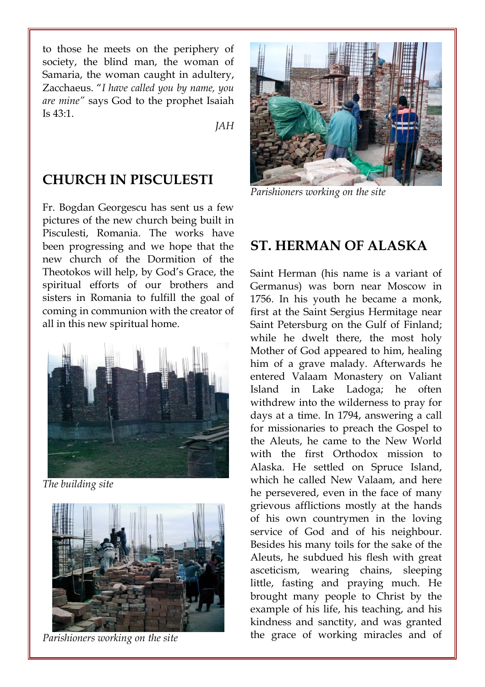to those he meets on the periphery of society, the blind man, the woman of Samaria, the woman caught in adultery, Zacchaeus. "I have called you by name, you are mine" says God to the prophet Isaiah Is  $43.1$ .

JAH

### CHURCH IN PISCULESTI

Fr. Bogdan Georgescu has sent us a few pictures of the new church being built in Pisculesti, Romania. The works have been progressing and we hope that the new church of the Dormition of the Theotokos will help, by God's Grace, the spiritual efforts of our brothers and sisters in Romania to fulfill the goal of coming in communion with the creator of all in this new spiritual home.



The building site



Parishioners working on the site



Parishioners working on the site

### ST. HERMAN OF ALASKA

Saint Herman (his name is a variant of Germanus) was born near Moscow in 1756. In his youth he became a monk, first at the Saint Sergius Hermitage near Saint Petersburg on the Gulf of Finland; while he dwelt there, the most holy Mother of God appeared to him, healing him of a grave malady. Afterwards he entered Valaam Monastery on Valiant Island in Lake Ladoga; he often withdrew into the wilderness to pray for days at a time. In 1794, answering a call for missionaries to preach the Gospel to the Aleuts, he came to the New World with the first Orthodox mission to Alaska. He settled on Spruce Island, which he called New Valaam, and here he persevered, even in the face of many grievous afflictions mostly at the hands of his own countrymen in the loving service of God and of his neighbour. Besides his many toils for the sake of the Aleuts, he subdued his flesh with great asceticism, wearing chains, sleeping little, fasting and praying much. He brought many people to Christ by the example of his life, his teaching, and his kindness and sanctity, and was granted the grace of working miracles and of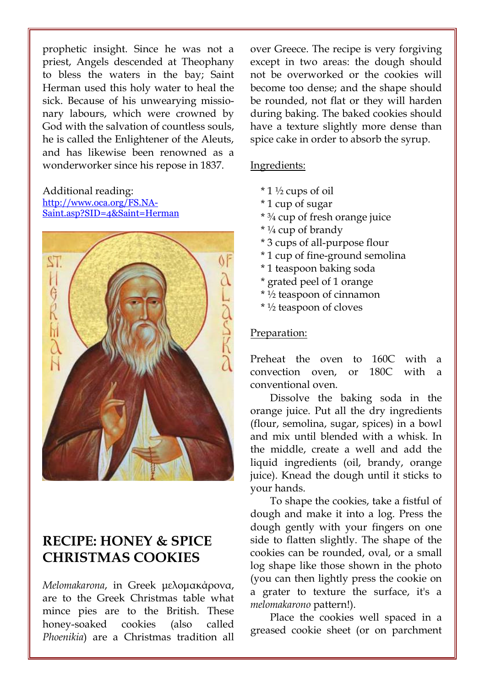prophetic insight. Since he was not a priest, Angels descended at Theophany to bless the waters in the bay; Saint Herman used this holy water to heal the sick. Because of his unwearying missionary labours, which were crowned by God with the salvation of countless souls, he is called the Enlightener of the Aleuts, and has likewise been renowned as a wonderworker since his repose in 1837.

#### Additional reading: http://www.oca.org/FS.NA-Saint.asp?SID=4&Saint=Herman



## RECIPE: HONEY & SPICE CHRISTMAS COOKIES

Melomakarona, in Greek µελοµακάρονα, are to the Greek Christmas table what mince pies are to the British. These honey-soaked cookies (also called Phoenikia) are a Christmas tradition all over Greece. The recipe is very forgiving except in two areas: the dough should not be overworked or the cookies will become too dense; and the shape should be rounded, not flat or they will harden during baking. The baked cookies should have a texture slightly more dense than spice cake in order to absorb the syrup.

#### Ingredients:

- \* 1 ½ cups of oil
- \* 1 cup of sugar
- \* ¾ cup of fresh orange juice
- \* ¼ cup of brandy
- \* 3 cups of all-purpose flour
- \* 1 cup of fine-ground semolina
- \* 1 teaspoon baking soda
- \* grated peel of 1 orange
- \* ½ teaspoon of cinnamon
- \* ½ teaspoon of cloves

#### Preparation:

Preheat the oven to 160C with a convection oven, or 180C with a conventional oven.

Dissolve the baking soda in the orange juice. Put all the dry ingredients (flour, semolina, sugar, spices) in a bowl and mix until blended with a whisk. In the middle, create a well and add the liquid ingredients (oil, brandy, orange juice). Knead the dough until it sticks to your hands.

To shape the cookies, take a fistful of dough and make it into a log. Press the dough gently with your fingers on one side to flatten slightly. The shape of the cookies can be rounded, oval, or a small log shape like those shown in the photo (you can then lightly press the cookie on a grater to texture the surface, it's a melomakarono pattern!).

Place the cookies well spaced in a greased cookie sheet (or on parchment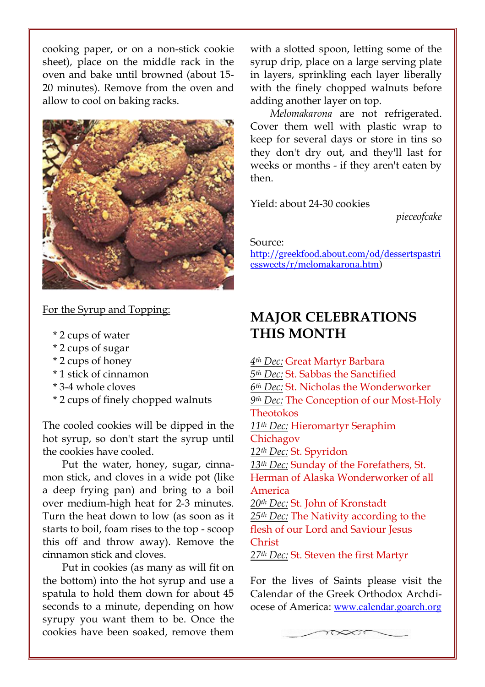cooking paper, or on a non-stick cookie sheet), place on the middle rack in the oven and bake until browned (about 15- 20 minutes). Remove from the oven and allow to cool on baking racks.



#### For the Syrup and Topping:

- \* 2 cups of water
- \* 2 cups of sugar
- \* 2 cups of honey
- \* 1 stick of cinnamon
- \* 3-4 whole cloves
- \* 2 cups of finely chopped walnuts

The cooled cookies will be dipped in the hot syrup, so don't start the syrup until the cookies have cooled.

Put the water, honey, sugar, cinnamon stick, and cloves in a wide pot (like a deep frying pan) and bring to a boil over medium-high heat for 2-3 minutes. Turn the heat down to low (as soon as it starts to boil, foam rises to the top - scoop this off and throw away). Remove the cinnamon stick and cloves.

Put in cookies (as many as will fit on the bottom) into the hot syrup and use a spatula to hold them down for about 45 seconds to a minute, depending on how syrupy you want them to be. Once the cookies have been soaked, remove them with a slotted spoon, letting some of the syrup drip, place on a large serving plate in layers, sprinkling each layer liberally with the finely chopped walnuts before adding another layer on top.

Melomakarona are not refrigerated. Cover them well with plastic wrap to keep for several days or store in tins so they don't dry out, and they'll last for weeks or months - if they aren't eaten by then.

Yield: about 24-30 cookies

pieceofcake

Source:

http://greekfood.about.com/od/dessertspastri essweets/r/melomakarona.htm)

## MAJOR CELEBRATIONS THIS MONTH

4th Dec: Great Martyr Barbara 5th Dec: St. Sabbas the Sanctified 6th Dec: St. Nicholas the Wonderworker 9th Dec: The Conception of our Most-Holy Theotokos 11th Dec: Hieromartyr Seraphim Chichagov 12th Dec: St. Spyridon 13<sup>th</sup> Dec: Sunday of the Forefathers, St. Herman of Alaska Wonderworker of all America 20<sup>th</sup> Dec: St. John of Kronstadt  $25<sup>th</sup>$  Dec: The Nativity according to the flesh of our Lord and Saviour Jesus Christ 27<sup>th</sup> Dec: St. Steven the first Martyr

For the lives of Saints please visit the Calendar of the Greek Orthodox Archdiocese of America: www.calendar.goarch.org